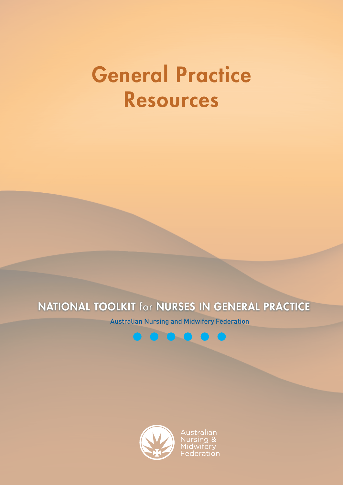# General Practice Resources

# NATIONAL TOOLKIT for NURSES IN GENERAL PRACTICE

Australian Nursing and Midwifery Federation



Australian ursing & idwifery Federation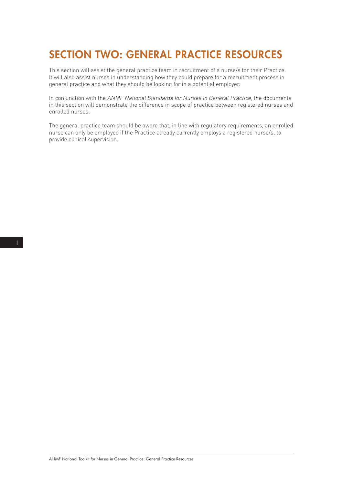# SECTION TWO: GENERAL PRACTICE RESOURCES

This section will assist the general practice team in recruitment of a nurse/s for their Practice. It will also assist nurses in understanding how they could prepare for a recruitment process in general practice and what they should be looking for in a potential employer.

In conjunction with the ANMF National Standards for Nurses in General Practice, the documents in this section will demonstrate the difference in scope of practice between registered nurses and enrolled nurses.

The general practice team should be aware that, in line with regulatory requirements, an enrolled nurse can only be employed if the Practice already currently employs a registered nurse/s, to provide clinical supervision.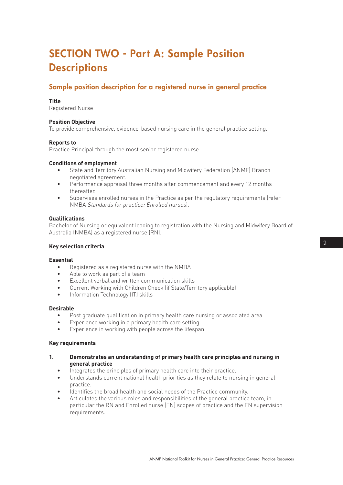# SECTION TWO - Part A: Sample Position **Descriptions**

# Sample position description for a registered nurse in general practice

#### **Title**

Registered Nurse

#### **Position Objective**

To provide comprehensive, evidence-based nursing care in the general practice setting.

#### **Reports to**

Practice Principal through the most senior registered nurse.

#### **Conditions of employment**

- State and Territory Australian Nursing and Midwifery Federation (ANMF) Branch negotiated agreement.
- Performance appraisal three months after commencement and every 12 months thereafter.
- Supervises enrolled nurses in the Practice as per the regulatory requirements (refer NMBA Standards for practice: Enrolled nurses).

#### **Qualifications**

Bachelor of Nursing or equivalent leading to registration with the Nursing and Midwifery Board of Australia (NMBA) as a registered nurse (RN).

#### **Key selection criteria**

#### **Essential**

- Registered as a registered nurse with the NMBA
- Able to work as part of a team
- Excellent verbal and written communication skills
- Current Working with Children Check (if State/Territory applicable)
- Information Technology (IT) skills

#### **Desirable**

- Post graduate qualification in primary health care nursing or associated area
- Experience working in a primary health care setting
- Experience in working with people across the lifespan

#### **Key requirements**

- **1. Demonstrates an understanding of primary health care principles and nursing in general practice**
	- Integrates the principles of primary health care into their practice.
	- Understands current national health priorities as they relate to nursing in general practice.
	- Identifies the broad health and social needs of the Practice community.
	- Articulates the various roles and responsibilities of the general practice team, in particular the RN and Enrolled nurse (EN) scopes of practice and the EN supervision requirements.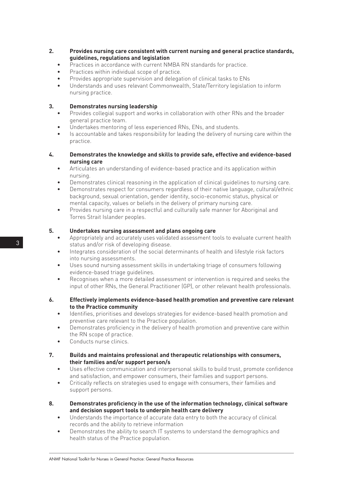- **2. Provides nursing care consistent with current nursing and general practice standards, guidelines, regulations and legislation**
	- Practices in accordance with current NMBA RN standards for practice.
	- Practices within individual scope of practice.
	- Provides appropriate supervision and delegation of clinical tasks to ENs
	- Understands and uses relevant Commonwealth, State/Territory legislation to inform nursing practice.

#### **3. Demonstrates nursing leadership**

- Provides collegial support and works in collaboration with other RNs and the broader general practice team.
- Undertakes mentoring of less experienced RNs, ENs, and students.
- Is accountable and takes responsibility for leading the delivery of nursing care within the practice.
- **4. Demonstrates the knowledge and skills to provide safe, effective and evidence-based nursing care**
	- Articulates an understanding of evidence-based practice and its application within nursing.
	- Demonstrates clinical reasoning in the application of clinical guidelines to nursing care.
	- Demonstrates respect for consumers regardless of their native language, cultural/ethnic background, sexual orientation, gender identity, socio-economic status, physical or mental capacity, values or beliefs in the delivery of primary nursing care.
	- Provides nursing care in a respectful and culturally safe manner for Aboriginal and Torres Strait Islander peoples.

#### **5. Undertakes nursing assessment and plans ongoing care**

- Appropriately and accurately uses validated assessment tools to evaluate current health status and/or risk of developing disease.
- Integrates consideration of the social determinants of health and lifestyle risk factors into nursing assessments.
- Uses sound nursing assessment skills in undertaking triage of consumers following evidence-based triage guidelines.
- Recognises when a more detailed assessment or intervention is required and seeks the input of other RNs, the General Practitioner (GP), or other relevant health professionals.
- **6. Effectively implements evidence-based health promotion and preventive care relevant to the Practice community**
	- Identifies, prioritises and develops strategies for evidence-based health promotion and preventive care relevant to the Practice population.
	- Demonstrates proficiency in the delivery of health promotion and preventive care within the RN scope of practice.
	- Conducts nurse clinics.
- **7. Builds and maintains professional and therapeutic relationships with consumers, their families and/or support person/s**
	- Uses effective communication and interpersonal skills to build trust, promote confidence and satisfaction, and empower consumers, their families and support persons.
	- Critically reflects on strategies used to engage with consumers, their families and support persons.
- **8. Demonstrates proficiency in the use of the information technology, clinical software and decision support tools to underpin health care delivery**
	- Understands the importance of accurate data entry to both the accuracy of clinical records and the ability to retrieve information
	- Demonstrates the ability to search IT systems to understand the demographics and health status of the Practice population.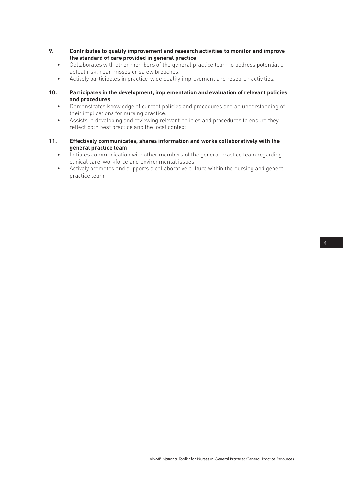- **9. Contributes to quality improvement and research activities to monitor and improve the standard of care provided in general practice**
	- Collaborates with other members of the general practice team to address potential or actual risk, near misses or safety breaches.
	- Actively participates in practice-wide quality improvement and research activities.
- **10. Participates in the development, implementation and evaluation of relevant policies and procedures**
	- Demonstrates knowledge of current policies and procedures and an understanding of their implications for nursing practice.
	- Assists in developing and reviewing relevant policies and procedures to ensure they reflect both best practice and the local context.
- **11. Effectively communicates, shares information and works collaboratively with the general practice team**
	- Initiates communication with other members of the general practice team regarding clinical care, workforce and environmental issues.
	- Actively promotes and supports a collaborative culture within the nursing and general practice team.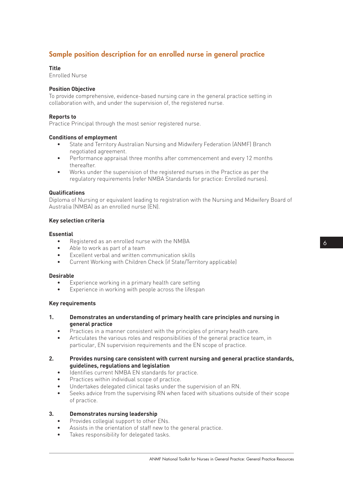# Sample position description for an enrolled nurse in general practice

#### **Title**

Enrolled Nurse

#### **Position Objective**

To provide comprehensive, evidence-based nursing care in the general practice setting in collaboration with, and under the supervision of, the registered nurse.

#### **Reports to**

Practice Principal through the most senior registered nurse.

#### **Conditions of employment**

- State and Territory Australian Nursing and Midwifery Federation (ANMF) Branch negotiated agreement.
- Performance appraisal three months after commencement and every 12 months thereafter.
- Works under the supervision of the registered nurses in the Practice as per the regulatory requirements (refer NMBA Standards for practice: Enrolled nurses).

#### **Qualifications**

Diploma of Nursing or equivalent leading to registration with the Nursing and Midwifery Board of Australia (NMBA) as an enrolled nurse (EN).

#### **Key selection criteria**

#### **Essential**

- Registered as an enrolled nurse with the NMBA
- Able to work as part of a team
- Excellent verbal and written communication skills
- Current Working with Children Check (if State/Territory applicable)

#### **Desirable**

- Experience working in a primary health care setting
- Experience in working with people across the lifespan

#### **Key requirements**

- **1. Demonstrates an understanding of primary health care principles and nursing in general practice**
	- Practices in a manner consistent with the principles of primary health care.
	- Articulates the various roles and responsibilities of the general practice team, in particular, EN supervision requirements and the EN scope of practice.
- **2. Provides nursing care consistent with current nursing and general practice standards, guidelines, regulations and legislation**
	- Identifies current NMBA EN standards for practice.
	- Practices within individual scope of practice.
	- Undertakes delegated clinical tasks under the supervision of an RN.
	- Seeks advice from the supervising RN when faced with situations outside of their scope of practice.

#### **3. Demonstrates nursing leadership**

- Provides collegial support to other ENs.
- Assists in the orientation of staff new to the general practice.
- Takes responsibility for delegated tasks.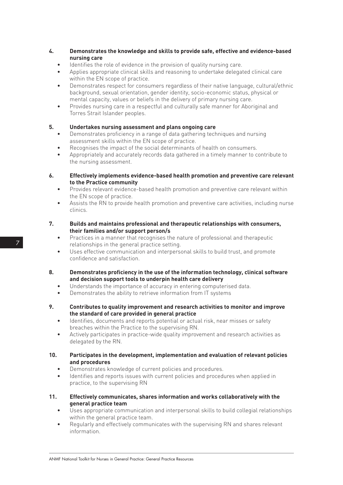- **4. Demonstrates the knowledge and skills to provide safe, effective and evidence-based nursing care**
	- Identifies the role of evidence in the provision of quality nursing care.
	- Applies appropriate clinical skills and reasoning to undertake delegated clinical care within the EN scope of practice.
	- Demonstrates respect for consumers regardless of their native language, cultural/ethnic background, sexual orientation, gender identity, socio-economic status, physical or mental capacity, values or beliefs in the delivery of primary nursing care.
	- Provides nursing care in a respectful and culturally safe manner for Aboriginal and Torres Strait Islander peoples.

#### **5. Undertakes nursing assessment and plans ongoing care**

- Demonstrates proficiency in a range of data gathering techniques and nursing assessment skills within the EN scope of practice.
- Recognises the impact of the social determinants of health on consumers.
- Appropriately and accurately records data gathered in a timely manner to contribute to the nursing assessment.
- **6. Effectively implements evidence-based health promotion and preventive care relevant to the Practice community**
	- Provides relevant evidence-based health promotion and preventive care relevant within the EN scope of practice.
	- Assists the RN to provide health promotion and preventive care activities, including nurse clinics.
- **7. Builds and maintains professional and therapeutic relationships with consumers, their families and/or support person/s**
	- Practices in a manner that recognises the nature of professional and therapeutic relationships in the general practice setting.
	- Uses effective communication and interpersonal skills to build trust, and promote confidence and satisfaction.
- **8. Demonstrates proficiency in the use of the information technology, clinical software and decision support tools to underpin health care delivery**
	- Understands the importance of accuracy in entering computerised data.
	- Demonstrates the ability to retrieve information from IT systems
- **9. Contributes to quality improvement and research activities to monitor and improve the standard of care provided in general practice**
	- Identifies, documents and reports potential or actual risk, near misses or safety breaches within the Practice to the supervising RN.
	- Actively participates in practice-wide quality improvement and research activities as delegated by the RN.
- **10. Participates in the development, implementation and evaluation of relevant policies and procedures**
	- Demonstrates knowledge of current policies and procedures.
	- Identifies and reports issues with current policies and procedures when applied in practice, to the supervising RN
- **11. Effectively communicates, shares information and works collaboratively with the general practice team**
	- Uses appropriate communication and interpersonal skills to build collegial relationships within the general practice team.
	- Regularly and effectively communicates with the supervising RN and shares relevant information.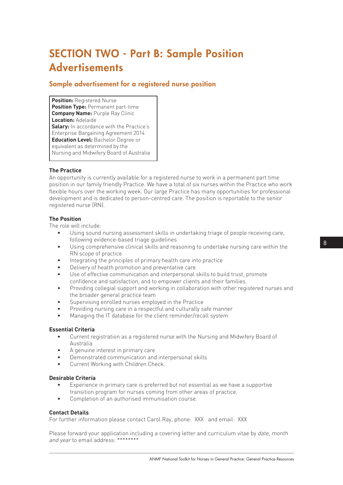# SECTION TWO - Part B: Sample Position **Advertisements**

### Sample advertisement for a registered nurse position

**Position: Registered Nurse Position Type: Permanent part-time Company Name:** Purple Ray Clinic **Location:** Adelaide **Salary:** In accordance with the Practice's Enterprise Bargaining Agreement 2014 **Education Level:** Bachelor Degree or equivalent as determined by the Nursing and Midwifery Board of Australia

#### **The Practice**

An opportunity is currently available for a registered nurse to work in a permanent part time position in our family friendly Practice. We have a total of six nurses within the Practice who work flexible hours over the working week. Our large Practice has many opportunities for professional development and is dedicated to person-centred care. The position is reportable to the senior registered nurse (RN).

#### **The Position**

The role will include:

- Using sound nursing assessment skills in undertaking triage of people receiving care, following evidence-based triage guidelines
- Using comprehensive clinical skills and reasoning to undertake nursing care within the RN scope of practice
- Integrating the principles of primary health care into practice
- Delivery of health promotion and preventative care
- Use of effective communication and interpersonal skills to build trust, promote confidence and satisfaction, and to empower clients and their families.
- Providing collegial support and working in collaboration with other registered nurses and the broader general practice team
- Supervising enrolled nurses employed in the Practice
- Providing nursing care in a respectful and culturally safe manner
- Managing the IT database for the client reminder/recall system

#### **Essential Criteria**

- Current registration as a registered nurse with the Nursing and Midwifery Board of Australia
- A genuine interest in primary care
- Demonstrated communication and interpersonal skills
- Current Working with Children Check.

#### **Desirable Criteria**

- Experience in primary care is preferred but not essential as we have a supportive transition program for nurses coming from other areas of practice.
- Completion of an authorised immunisation course.

#### **Contact Details**

For further information please contact Carol Ray, phone: XXX and email: XXX

Please forward your application including a covering letter and curriculum vitae by *date, month* and year to email address: \*\*\*\*\*\*\*\*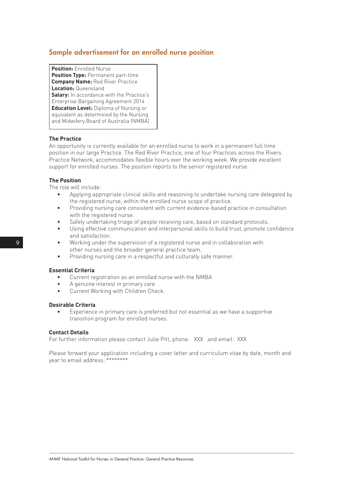## Sample advertisement for an enrolled nurse position

**Position:** Enrolled Nurse **Position Type:** Permanent part-time **Company Name:** Red River Practice **Location:** Queensland **Salary:** In accordance with the Practice's Enterprise Bargaining Agreement 2014 **Education Level:** Diploma of Nursing or equivalent as determined by the Nursing and Midwifery Board of Australia (NMBA)

#### **The Practice**

An opportunity is currently available for an enrolled nurse to work in a permanent full time position in our large Practice. The Red River Practice, one of four Practices across the Rivers Practice Network, accommodates flexible hours over the working week. We provide excellent support for enrolled nurses. The position reports to the senior registered nurse.

#### **The Position**

The role will include:

- Applying appropriate clinical skills and reasoning to undertake nursing care delegated by the registered nurse, within the enrolled nurse scope of practice.
- Providing nursing care consistent with current evidence-based practice in consultation with the registered nurse.
- Safely undertaking triage of people receiving care, based on standard protocols.
- Using effective communication and interpersonal skills to build trust, promote confidence and satisfaction.
- Working under the supervision of a registered nurse and in collaboration with other nurses and the broader general practice team.
- Providing nursing care in a respectful and culturally safe manner.

#### **Essential Criteria**

- Current registration as an enrolled nurse with the NMBA
- A genuine interest in primary care
- Current Working with Children Check.

#### **Desirable Criteria**

Experience in primary care is preferred but not essential as we have a supportive transition program for enrolled nurses.

#### **Contact Details**

For further information please contact Julie Pitt, phone: XXX and email: XXX

Please forward your application including a cover letter and curriculum vitae by date, month and year to email address: \*\*\*\*\*\*\*\*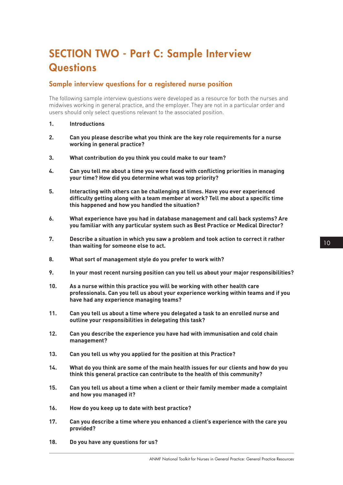# SECTION TWO - Part C: Sample Interview **Questions**

### Sample interview questions for a registered nurse position

The following sample interview questions were developed as a resource for both the nurses and midwives working in general practice, and the employer. They are not in a particular order and users should only select questions relevant to the associated position.

- **1. Introductions**
- **2. Can you please describe what you think are the key role requirements for a nurse working in general practice?**
- **3. What contribution do you think you could make to our team?**
- **4. Can you tell me about a time you were faced with conflicting priorities in managing your time? How did you determine what was top priority?**
- **5. Interacting with others can be challenging at times. Have you ever experienced difficulty getting along with a team member at work? Tell me about a specific time this happened and how you handled the situation?**
- **6. What experience have you had in database management and call back systems? Are you familiar with any particular system such as Best Practice or Medical Director?**
- **7. Describe a situation in which you saw a problem and took action to correct it rather than waiting for someone else to act.**
- **8. What sort of management style do you prefer to work with?**
- **9. In your most recent nursing position can you tell us about your major responsibilities?**
- **10. As a nurse within this practice you will be working with other health care professionals. Can you tell us about your experience working within teams and if you have had any experience managing teams?**
- **11. Can you tell us about a time where you delegated a task to an enrolled nurse and outline your responsibilities in delegating this task?**
- **12. Can you describe the experience you have had with immunisation and cold chain management?**
- **13. Can you tell us why you applied for the position at this Practice?**
- **14. What do you think are some of the main health issues for our clients and how do you think this general practice can contribute to the health of this community?**
- **15. Can you tell us about a time when a client or their family member made a complaint and how you managed it?**
- **16. How do you keep up to date with best practice?**
- **17. Can you describe a time where you enhanced a client's experience with the care you provided?**
- **18. Do you have any questions for us?**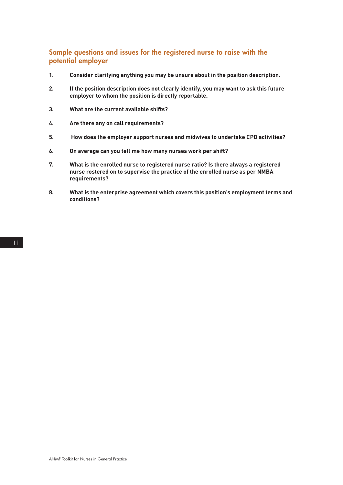### Sample questions and issues for the registered nurse to raise with the potential employer

- **1. Consider clarifying anything you may be unsure about in the position description.**
- **2. If the position description does not clearly identify, you may want to ask this future employer to whom the position is directly reportable.**
- **3. What are the current available shifts?**
- **4. Are there any on call requirements?**
- **5. How does the employer support nurses and midwives to undertake CPD activities?**
- **6. On average can you tell me how many nurses work per shift?**
- **7. What is the enrolled nurse to registered nurse ratio? Is there always a registered nurse rostered on to supervise the practice of the enrolled nurse as per NMBA requirements?**
- **8. What is the enterprise agreement which covers this position's employment terms and conditions?**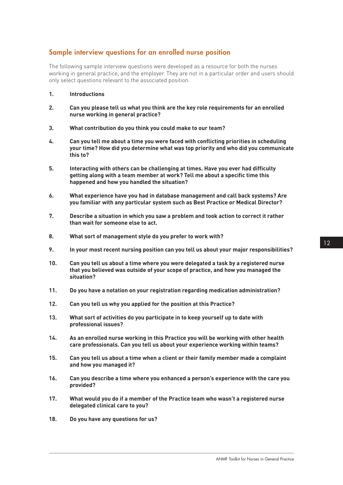## Sample interview questions for an enrolled nurse position

The following sample interview questions were developed as a resource for both the nurses working in general practice, and the employer. They are not in a particular order and users should only select questions relevant to the associated position.

- **1. Introductions**
- **2. Can you please tell us what you think are the key role requirements for an enrolled nurse working in general practice?**
- **3. What contribution do you think you could make to our team?**
- **4. Can you tell me about a time you were faced with conflicting priorities in scheduling your time? How did you determine what was top priority and who did you communicate this to?**
- **5. Interacting with others can be challenging at times. Have you ever had difficulty getting along with a team member at work? Tell me about a specific time this happened and how you handled the situation?**
- **6. What experience have you had in database management and call back systems? Are you familiar with any particular system such as Best Practice or Medical Director?**
- **7. Describe a situation in which you saw a problem and took action to correct it rather than wait for someone else to act.**
- **8. What sort of management style do you prefer to work with?**
- **9. In your most recent nursing position can you tell us about your major responsibilities?**
- **10. Can you tell us about a time where you were delegated a task by a registered nurse that you believed was outside of your scope of practice, and how you managed the situation?**
- **11. Do you have a notation on your registration regarding medication administration?**
- **12. Can you tell us why you applied for the position at this Practice?**
- **13. What sort of activities do you participate in to keep yourself up to date with professional issues?**
- **14. As an enrolled nurse working in this Practice you will be working with other health care professionals. Can you tell us about your experience working within teams?**
- **15. Can you tell us about a time when a client or their family member made a complaint and how you managed it?**
- **16. Can you describe a time where you enhanced a person's experience with the care you provided?**
- **17. What would you do if a member of the Practice team who wasn't a registered nurse delegated clinical care to you?**
- **18. Do you have any questions for us?**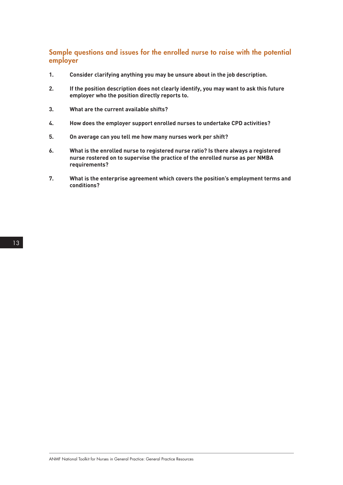### Sample questions and issues for the enrolled nurse to raise with the potential employer

- **1. Consider clarifying anything you may be unsure about in the job description.**
- **2. If the position description does not clearly identify, you may want to ask this future employer who the position directly reports to.**
- **3. What are the current available shifts?**
- **4. How does the employer support enrolled nurses to undertake CPD activities?**
- **5. On average can you tell me how many nurses work per shift?**
- **6. What is the enrolled nurse to registered nurse ratio? Is there always a registered nurse rostered on to supervise the practice of the enrolled nurse as per NMBA requirements?**
- **7. What is the enterprise agreement which covers the position's employment terms and conditions?**